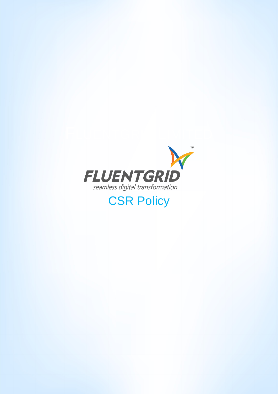

# **CSR Policy**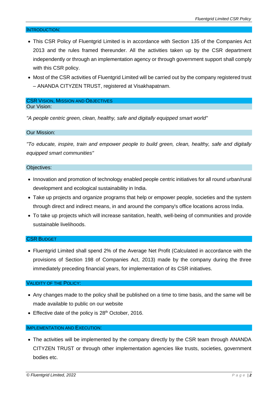### INTRODUCTION:

- This CSR Policy of Fluentgrid Limited is in accordance with Section 135 of the Companies Act 2013 and the rules framed thereunder. All the activities taken up by the CSR department independently or through an implementation agency or through government support shall comply with this CSR policy.
- Most of the CSR activities of Fluentgrid Limited will be carried out by the company registered trust – ANANDA CITYZEN TRUST, registered at Visakhapatnam.

### CSR VISION, MISSION AND OBJECTIVES Our Vision:

*"A people centric green, clean, healthy, safe and digitally equipped smart world"* 

### Our Mission:

*"To educate, inspire, train and empower people to build green, clean, healthy, safe and digitally equipped smart communities"* 

#### Objectives:

- Innovation and promotion of technology enabled people centric initiatives for all round urban/rural development and ecological sustainability in India.
- Take up projects and organize programs that help or empower people, societies and the system through direct and indirect means, in and around the company's office locations across India.
- To take up projects which will increase sanitation, health, well-being of communities and provide sustainable livelihoods.

## CSR BUDGET

 Fluentgrid Limited shall spend 2% of the Average Net Profit (Calculated in accordance with the provisions of Section 198 of Companies Act, 2013) made by the company during the three immediately preceding financial years, for implementation of its CSR initiatives.

#### VALIDITY OF THE POLICY:

- Any changes made to the policy shall be published on a time to time basis, and the same will be made available to public on our website
- Effective date of the policy is 28<sup>th</sup> October, 2016.

## IMPLEMENTATION AND EXECUTION:

• The activities will be implemented by the company directly by the CSR team through ANANDA CITYZEN TRUST or through other implementation agencies like trusts, societies, government bodies etc.